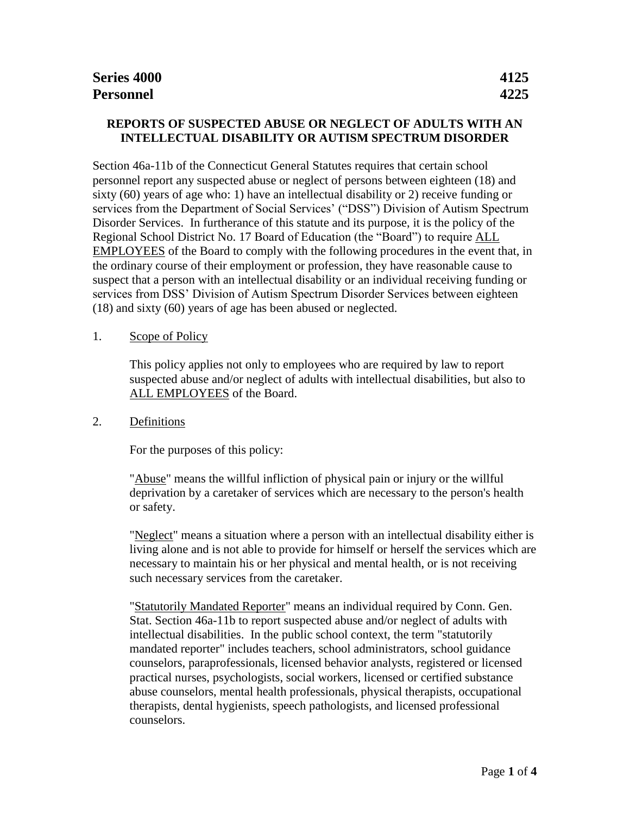# **REPORTS OF SUSPECTED ABUSE OR NEGLECT OF ADULTS WITH AN INTELLECTUAL DISABILITY OR AUTISM SPECTRUM DISORDER**

Section 46a-11b of the Connecticut General Statutes requires that certain school personnel report any suspected abuse or neglect of persons between eighteen (18) and sixty (60) years of age who: 1) have an intellectual disability or 2) receive funding or services from the Department of Social Services' ("DSS") Division of Autism Spectrum Disorder Services. In furtherance of this statute and its purpose, it is the policy of the Regional School District No. 17 Board of Education (the "Board") to require ALL EMPLOYEES of the Board to comply with the following procedures in the event that, in the ordinary course of their employment or profession, they have reasonable cause to suspect that a person with an intellectual disability or an individual receiving funding or services from DSS' Division of Autism Spectrum Disorder Services between eighteen (18) and sixty (60) years of age has been abused or neglected.

### 1. Scope of Policy

This policy applies not only to employees who are required by law to report suspected abuse and/or neglect of adults with intellectual disabilities, but also to ALL EMPLOYEES of the Board.

### 2. Definitions

For the purposes of this policy:

"Abuse" means the willful infliction of physical pain or injury or the willful deprivation by a caretaker of services which are necessary to the person's health or safety.

"Neglect" means a situation where a person with an intellectual disability either is living alone and is not able to provide for himself or herself the services which are necessary to maintain his or her physical and mental health, or is not receiving such necessary services from the caretaker.

"Statutorily Mandated Reporter" means an individual required by Conn. Gen. Stat. Section 46a-11b to report suspected abuse and/or neglect of adults with intellectual disabilities. In the public school context, the term "statutorily mandated reporter" includes teachers, school administrators, school guidance counselors, paraprofessionals, licensed behavior analysts, registered or licensed practical nurses, psychologists, social workers, licensed or certified substance abuse counselors, mental health professionals, physical therapists, occupational therapists, dental hygienists, speech pathologists, and licensed professional counselors.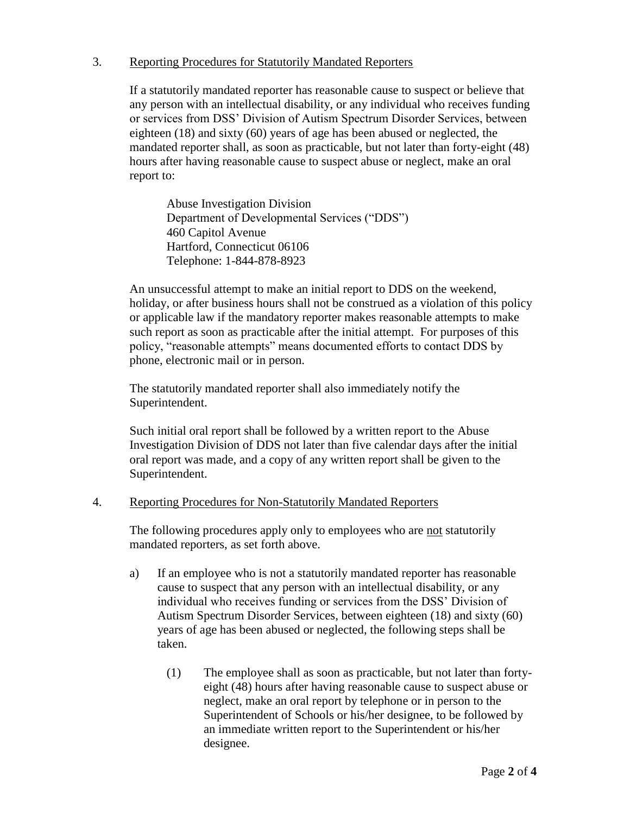### 3. Reporting Procedures for Statutorily Mandated Reporters

If a statutorily mandated reporter has reasonable cause to suspect or believe that any person with an intellectual disability, or any individual who receives funding or services from DSS' Division of Autism Spectrum Disorder Services, between eighteen (18) and sixty (60) years of age has been abused or neglected, the mandated reporter shall, as soon as practicable, but not later than forty-eight (48) hours after having reasonable cause to suspect abuse or neglect, make an oral report to:

Abuse Investigation Division Department of Developmental Services ("DDS") 460 Capitol Avenue Hartford, Connecticut 06106 Telephone: 1-844-878-8923

An unsuccessful attempt to make an initial report to DDS on the weekend, holiday, or after business hours shall not be construed as a violation of this policy or applicable law if the mandatory reporter makes reasonable attempts to make such report as soon as practicable after the initial attempt. For purposes of this policy, "reasonable attempts" means documented efforts to contact DDS by phone, electronic mail or in person.

The statutorily mandated reporter shall also immediately notify the Superintendent.

Such initial oral report shall be followed by a written report to the Abuse Investigation Division of DDS not later than five calendar days after the initial oral report was made, and a copy of any written report shall be given to the Superintendent.

### 4. Reporting Procedures for Non-Statutorily Mandated Reporters

The following procedures apply only to employees who are not statutorily mandated reporters, as set forth above.

- a) If an employee who is not a statutorily mandated reporter has reasonable cause to suspect that any person with an intellectual disability, or any individual who receives funding or services from the DSS' Division of Autism Spectrum Disorder Services, between eighteen (18) and sixty (60) years of age has been abused or neglected, the following steps shall be taken.
	- (1) The employee shall as soon as practicable, but not later than fortyeight (48) hours after having reasonable cause to suspect abuse or neglect, make an oral report by telephone or in person to the Superintendent of Schools or his/her designee, to be followed by an immediate written report to the Superintendent or his/her designee.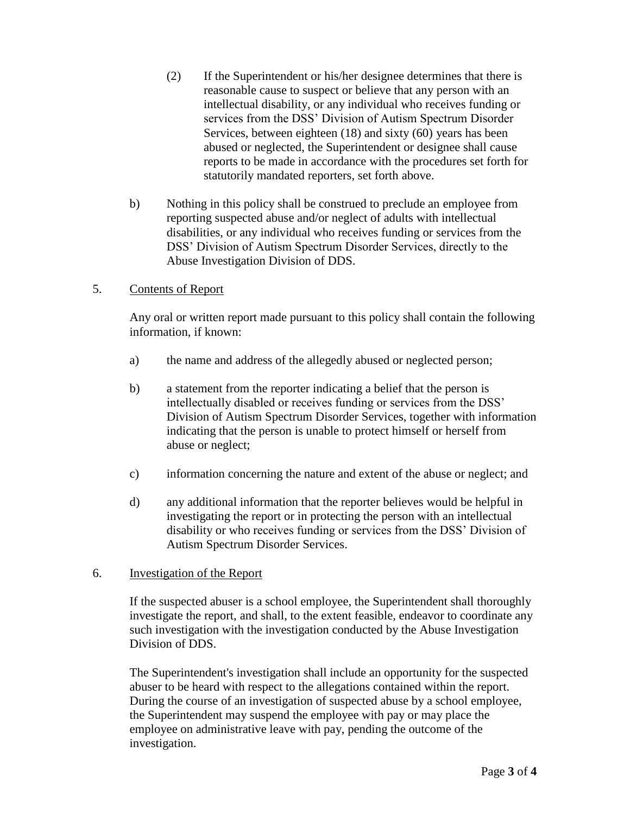- (2) If the Superintendent or his/her designee determines that there is reasonable cause to suspect or believe that any person with an intellectual disability, or any individual who receives funding or services from the DSS' Division of Autism Spectrum Disorder Services, between eighteen (18) and sixty (60) years has been abused or neglected, the Superintendent or designee shall cause reports to be made in accordance with the procedures set forth for statutorily mandated reporters, set forth above.
- b) Nothing in this policy shall be construed to preclude an employee from reporting suspected abuse and/or neglect of adults with intellectual disabilities, or any individual who receives funding or services from the DSS' Division of Autism Spectrum Disorder Services, directly to the Abuse Investigation Division of DDS.

## 5. Contents of Report

Any oral or written report made pursuant to this policy shall contain the following information, if known:

- a) the name and address of the allegedly abused or neglected person;
- b) a statement from the reporter indicating a belief that the person is intellectually disabled or receives funding or services from the DSS' Division of Autism Spectrum Disorder Services, together with information indicating that the person is unable to protect himself or herself from abuse or neglect;
- c) information concerning the nature and extent of the abuse or neglect; and
- d) any additional information that the reporter believes would be helpful in investigating the report or in protecting the person with an intellectual disability or who receives funding or services from the DSS' Division of Autism Spectrum Disorder Services.

### 6. Investigation of the Report

If the suspected abuser is a school employee, the Superintendent shall thoroughly investigate the report, and shall, to the extent feasible, endeavor to coordinate any such investigation with the investigation conducted by the Abuse Investigation Division of DDS.

The Superintendent's investigation shall include an opportunity for the suspected abuser to be heard with respect to the allegations contained within the report. During the course of an investigation of suspected abuse by a school employee, the Superintendent may suspend the employee with pay or may place the employee on administrative leave with pay, pending the outcome of the investigation.